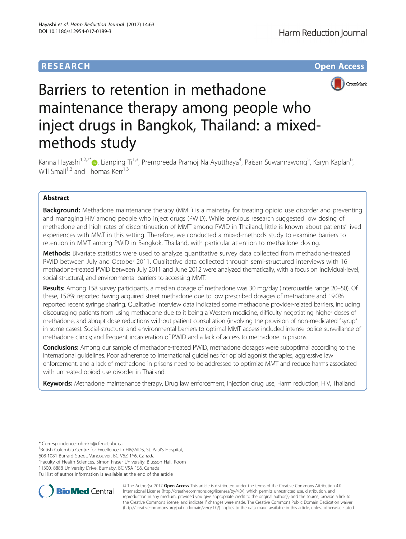# **RESEARCH RESEARCH** *CONSTRUCTER CONSTRUCTER AND CONSTRUCTER OPEN ACCESS*



# Barriers to retention in methadone maintenance therapy among people who inject drugs in Bangkok, Thailand: a mixedmethods study

Kanna Hayashi<sup>1,2,7[\\*](http://orcid.org/0000-0003-3843-2928)</sup>�, Lianping Ti<sup>1,3</sup>, Prempreeda Pramoj Na Ayutthaya<sup>4</sup>, Paisan Suwannawong<sup>5</sup>, Karyn Kaplan<sup>6</sup> , Will Small<sup>1,2</sup> and Thomas Kerr<sup>1,3</sup>

# Abstract

**Background:** Methadone maintenance therapy (MMT) is a mainstay for treating opioid use disorder and preventing and managing HIV among people who inject drugs (PWID). While previous research suggested low dosing of methadone and high rates of discontinuation of MMT among PWID in Thailand, little is known about patients' lived experiences with MMT in this setting. Therefore, we conducted a mixed-methods study to examine barriers to retention in MMT among PWID in Bangkok, Thailand, with particular attention to methadone dosing.

Methods: Bivariate statistics were used to analyze quantitative survey data collected from methadone-treated PWID between July and October 2011. Qualitative data collected through semi-structured interviews with 16 methadone-treated PWID between July 2011 and June 2012 were analyzed thematically, with a focus on individual-level, social-structural, and environmental barriers to accessing MMT.

Results: Among 158 survey participants, a median dosage of methadone was 30 mg/day (interquartile range 20–50). Of these, 15.8% reported having acquired street methadone due to low prescribed dosages of methadone and 19.0% reported recent syringe sharing. Qualitative interview data indicated some methadone provider-related barriers, including discouraging patients from using methadone due to it being a Western medicine, difficulty negotiating higher doses of methadone, and abrupt dose reductions without patient consultation (involving the provision of non-medicated "syrup" in some cases). Social-structural and environmental barriers to optimal MMT access included intense police surveillance of methadone clinics; and frequent incarceration of PWID and a lack of access to methadone in prisons.

Conclusions: Among our sample of methadone-treated PWID, methadone dosages were suboptimal according to the international guidelines. Poor adherence to international guidelines for opioid agonist therapies, aggressive law enforcement, and a lack of methadone in prisons need to be addressed to optimize MMT and reduce harms associated with untreated opioid use disorder in Thailand.

Keywords: Methadone maintenance therapy, Drug law enforcement, Injection drug use, Harm reduction, HIV, Thailand

<sup>1</sup>British Columbia Centre for Excellence in HIV/AIDS, St. Paul's Hospital,

608-1081 Burrard Street, Vancouver, BC V6Z 1Y6, Canada

<sup>2</sup> Faculty of Health Sciences, Simon Fraser University, Blusson Hall, Room

11300, 8888 University Drive, Burnaby, BC V5A 1S6, Canada

Full list of author information is available at the end of the article



© The Author(s). 2017 **Open Access** This article is distributed under the terms of the Creative Commons Attribution 4.0 International License [\(http://creativecommons.org/licenses/by/4.0/](http://creativecommons.org/licenses/by/4.0/)), which permits unrestricted use, distribution, and reproduction in any medium, provided you give appropriate credit to the original author(s) and the source, provide a link to the Creative Commons license, and indicate if changes were made. The Creative Commons Public Domain Dedication waiver [\(http://creativecommons.org/publicdomain/zero/1.0/](http://creativecommons.org/publicdomain/zero/1.0/)) applies to the data made available in this article, unless otherwise stated.

<sup>\*</sup> Correspondence: [uhri-kh@cfenet.ubc.ca](mailto:uhri-kh@cfenet.ubc.ca) <sup>1</sup>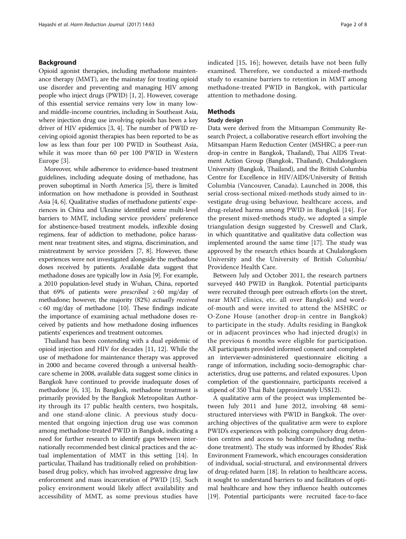## Background

Opioid agonist therapies, including methadone maintenance therapy (MMT), are the mainstay for treating opioid use disorder and preventing and managing HIV among people who inject drugs (PWID) [\[1, 2](#page-6-0)]. However, coverage of this essential service remains very low in many lowand middle-income countries, including in Southeast Asia, where injection drug use involving opioids has been a key driver of HIV epidemics [[3](#page-6-0), [4\]](#page-6-0). The number of PWID receiving opioid agonist therapies has been reported to be as low as less than four per 100 PWID in Southeast Asia, while it was more than 60 per 100 PWID in Western Europe [[3\]](#page-6-0).

Moreover, while adherence to evidence-based treatment guidelines, including adequate dosing of methadone, has proven suboptimal in North America [\[5](#page-6-0)], there is limited information on how methadone is provided in Southeast Asia [\[4](#page-6-0), [6](#page-6-0)]. Qualitative studies of methadone patients' experiences in China and Ukraine identified some multi-level barriers to MMT, including service providers' preference for abstinence-based treatment models, inflexible dosing regimens, fear of addiction to methadone, police harassment near treatment sites, and stigma, discrimination, and mistreatment by service providers [\[7](#page-6-0), [8](#page-6-0)]. However, these experiences were not investigated alongside the methadone doses received by patients. Available data suggest that methadone doses are typically low in Asia [\[9\]](#page-6-0). For example, a 2010 population-level study in Wuhan, China, reported that 69% of patients were *prescribed*  $\geq 60$  mg/day of methadone; however, the majority (82%) actually received < 60 mg/day of methadone [\[10\]](#page-6-0). These findings indicate the importance of examining actual methadone doses received by patients and how methadone dosing influences patients' experiences and treatment outcomes.

Thailand has been contending with a dual epidemic of opioid injection and HIV for decades [\[11](#page-6-0), [12](#page-6-0)]. While the use of methadone for maintenance therapy was approved in 2000 and became covered through a universal healthcare scheme in 2008, available data suggest some clinics in Bangkok have continued to provide inadequate doses of methadone [[6](#page-6-0), [13](#page-6-0)]. In Bangkok, methadone treatment is primarily provided by the Bangkok Metropolitan Authority through its 17 public health centers, two hospitals, and one stand-alone clinic. A previous study documented that ongoing injection drug use was common among methadone-treated PWID in Bangkok, indicating a need for further research to identify gaps between internationally recommended best clinical practices and the actual implementation of MMT in this setting [\[14\]](#page-6-0). In particular, Thailand has traditionally relied on prohibitionbased drug policy, which has involved aggressive drug law enforcement and mass incarceration of PWID [\[15\]](#page-7-0). Such policy environment would likely affect availability and accessibility of MMT, as some previous studies have indicated [[15, 16](#page-7-0)]; however, details have not been fully examined. Therefore, we conducted a mixed-methods study to examine barriers to retention in MMT among methadone-treated PWID in Bangkok, with particular attention to methadone dosing.

#### Methods

#### Study design

Data were derived from the Mitsampan Community Research Project, a collaborative research effort involving the Mitsampan Harm Reduction Center (MSHRC; a peer-run drop-in centre in Bangkok, Thailand), Thai AIDS Treatment Action Group (Bangkok, Thailand), Chulalongkorn University (Bangkok, Thailand), and the British Columbia Centre for Excellence in HIV/AIDS/University of British Columbia (Vancouver, Canada). Launched in 2008, this serial cross-sectional mixed-methods study aimed to investigate drug-using behaviour, healthcare access, and drug-related harms among PWID in Bangkok [\[14](#page-6-0)]. For the present mixed-methods study, we adopted a simple triangulation design suggested by Creswell and Clark, in which quantitative and qualitative data collection was implemented around the same time [[17](#page-7-0)]. The study was approved by the research ethics boards at Chulalongkorn University and the University of British Columbia/ Providence Health Care.

Between July and October 2011, the research partners surveyed 440 PWID in Bangkok. Potential participants were recruited through peer outreach efforts (on the street, near MMT clinics, etc. all over Bangkok) and wordof-mouth and were invited to attend the MSHRC or O-Zone House (another drop-in centre in Bangkok) to participate in the study. Adults residing in Bangkok or in adjacent provinces who had injected drug(s) in the previous 6 months were eligible for participation. All participants provided informed consent and completed an interviewer-administered questionnaire eliciting a range of information, including socio-demographic characteristics, drug use patterns, and related exposures. Upon completion of the questionnaire, participants received a stipend of 350 Thai Baht (approximately US\$12).

A qualitative arm of the project was implemented between July 2011 and June 2012, involving 48 semistructured interviews with PWID in Bangkok. The overarching objectives of the qualitative arm were to explore PWID's experiences with policing compulsory drug detention centres and access to healthcare (including methadone treatment). The study was informed by Rhodes' Risk Environment Framework, which encourages consideration of individual, social-structural, and environmental drivers of drug-related harm [\[18](#page-7-0)]. In relation to healthcare access, it sought to understand barriers to and facilitators of optimal healthcare and how they influence health outcomes [[19](#page-7-0)]. Potential participants were recruited face-to-face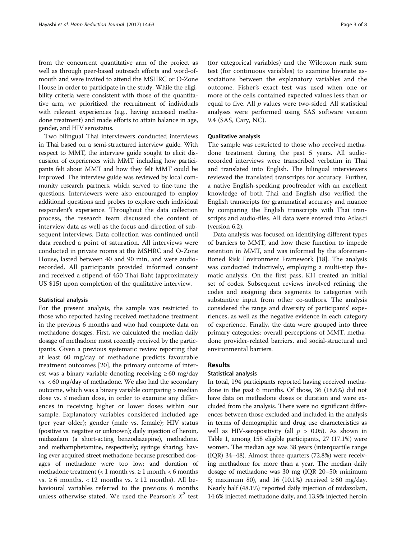from the concurrent quantitative arm of the project as well as through peer-based outreach efforts and word-ofmouth and were invited to attend the MSHRC or O-Zone House in order to participate in the study. While the eligibility criteria were consistent with those of the quantitative arm, we prioritized the recruitment of individuals with relevant experiences (e.g., having accessed methadone treatment) and made efforts to attain balance in age, gender, and HIV serostatus.

Two bilingual Thai interviewers conducted interviews in Thai based on a semi-structured interview guide. With respect to MMT, the interview guide sought to elicit discussion of experiences with MMT including how participants felt about MMT and how they felt MMT could be improved. The interview guide was reviewed by local community research partners, which served to fine-tune the questions. Interviewers were also encouraged to employ additional questions and probes to explore each individual respondent's experience. Throughout the data collection process, the research team discussed the content of interview data as well as the focus and direction of subsequent interviews. Data collection was continued until data reached a point of saturation. All interviews were conducted in private rooms at the MSHRC and O-Zone House, lasted between 40 and 90 min, and were audiorecorded. All participants provided informed consent and received a stipend of 450 Thai Baht (approximately US \$15) upon completion of the qualitative interview.

#### Statistical analysis

For the present analysis, the sample was restricted to those who reported having received methadone treatment in the previous 6 months and who had complete data on methadone dosages. First, we calculated the median daily dosage of methadone most recently received by the participants. Given a previous systematic review reporting that at least 60 mg/day of methadone predicts favourable treatment outcomes [[20\]](#page-7-0), the primary outcome of interest was a binary variable denoting receiving  $\geq 60$  mg/day vs. < 60 mg/day of methadone. We also had the secondary outcome, which was a binary variable comparing > median dose vs. ≤ median dose, in order to examine any differences in receiving higher or lower doses within our sample. Explanatory variables considered included age (per year older); gender (male vs. female); HIV status (positive vs. negative or unknown); daily injection of heroin, midazolam (a short-acting benzodiazepine), methadone, and methamphetamine, respectively; syringe sharing; having ever acquired street methadone because prescribed dosages of methadone were too low; and duration of methadone treatment  $\left($  < 1 month vs.  $\geq$  1 month, < 6 months vs. ≥6 months, < 12 months vs. ≥ 12 months). All behavioural variables referred to the previous 6 months unless otherwise stated. We used the Pearson's  $X^2$  test

(for categorical variables) and the Wilcoxon rank sum test (for continuous variables) to examine bivariate associations between the explanatory variables and the outcome. Fisher's exact test was used when one or more of the cells contained expected values less than or equal to five. All  $p$  values were two-sided. All statistical analyses were performed using SAS software version 9.4 (SAS, Cary, NC).

## Qualitative analysis

The sample was restricted to those who received methadone treatment during the past 5 years. All audiorecorded interviews were transcribed verbatim in Thai and translated into English. The bilingual interviewers reviewed the translated transcripts for accuracy. Further, a native English-speaking proofreader with an excellent knowledge of both Thai and English also verified the English transcripts for grammatical accuracy and nuance by comparing the English transcripts with Thai transcripts and audio-files. All data were entered into Atlas.ti (version 6.2).

Data analysis was focused on identifying different types of barriers to MMT, and how these function to impede retention in MMT, and was informed by the aforementioned Risk Environment Framework [[18](#page-7-0)]. The analysis was conducted inductively, employing a multi-step thematic analysis. On the first pass, KH created an initial set of codes. Subsequent reviews involved refining the codes and assigning data segments to categories with substantive input from other co-authors. The analysis considered the range and diversity of participants' experiences, as well as the negative evidence in each category of experience. Finally, the data were grouped into three primary categories: overall perceptions of MMT, methadone provider-related barriers, and social-structural and environmental barriers.

#### Results

#### Statistical analysis

In total, 194 participants reported having received methadone in the past 6 months. Of those, 36 (18.6%) did not have data on methadone doses or duration and were excluded from the analysis. There were no significant differences between those excluded and included in the analysis in terms of demographic and drug use characteristics as well as HIV-seropositivity (all  $p > 0.05$ ). As shown in Table [1,](#page-3-0) among 158 eligible participants, 27 (17.1%) were women. The median age was 38 years (interquartile range (IQR) 34–48). Almost three-quarters (72.8%) were receiving methadone for more than a year. The median daily dosage of methadone was 30 mg (IQR 20–50; minimum 5; maximum 80), and 16 (10.1%) received  $\geq 60$  mg/day. Nearly half (48.1%) reported daily injection of midazolam, 14.6% injected methadone daily, and 13.9% injected heroin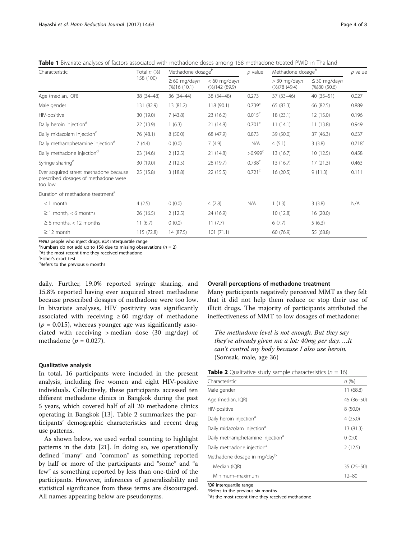<span id="page-3-0"></span>Table 1 Bivariate analyses of factors associated with methadone doses among 158 methadone-treated PWID in Thailand

| Characteristic                                                                            | Total $n$ (%)<br>158 (100) | Methadone dosage <sup>b</sup>    |                                | $p$ value             | Methadone dosage <sup>b</sup> |                                     | $p$ value   |
|-------------------------------------------------------------------------------------------|----------------------------|----------------------------------|--------------------------------|-----------------------|-------------------------------|-------------------------------------|-------------|
|                                                                                           |                            | $\geq 60$ mg/dayn<br>(%16(10.1)) | $< 60$ mg/dayn<br>(%)142(89.9) |                       | $> 30$ mg/dayn<br>(%)78(49.4) | $\leq$ 30 mg/dayn<br>$(\%)80(50.6)$ |             |
| Age (median, IQR)                                                                         | 38 (34-48)                 | $36(34-44)$                      | 38 (34-48)                     | 0.273                 | $37(33 - 46)$                 | $40(35-51)$                         | 0.027       |
| Male gender                                                                               | 131 (82.9)                 | 13 (81.2)                        | 118 (90.1)                     | 0.739 <sup>c</sup>    | 65 (83.3)                     | 66 (82.5)                           | 0.889       |
| HIV-positive                                                                              | 30 (19.0)                  | 7(43.8)                          | 23 (16.2)                      | 0.015 <sup>c</sup>    | 18(23.1)                      | 12 (15.0)                           | 0.196       |
| Daily heroin injection <sup>d</sup>                                                       | 22 (13.9)                  | 1(6.3)                           | 21 (14.8)                      | 0.701 <sup>c</sup>    | 11(14.1)                      | 11(13.8)                            | 0.949       |
| Daily midazolam injection <sup>d</sup>                                                    | 76 (48.1)                  | 8(50.0)                          | 68 (47.9)                      | 0.873                 | 39 (50.0)                     | 37(46.3)                            | 0.637       |
| Daily methamphetamine injection <sup>d</sup>                                              | 7(4.4)                     | 0(0.0)                           | 7(4.9)                         | N/A                   | 4(5.1)                        | 3(3.8)                              | $0.718^{c}$ |
| Daily methadone injection <sup>d</sup>                                                    | 23 (14.6)                  | 2(12.5)                          | 21 (14.8)                      | $>0.999$ <sup>c</sup> | 13 (16.7)                     | 10(12.5)                            | 0.458       |
| Syringe sharing <sup>d</sup>                                                              | 30 (19.0)                  | 2(12.5)                          | 28 (19.7)                      | 0.738c                | 13(16.7)                      | 17(21.3)                            | 0.463       |
| Ever acquired street methadone because<br>prescribed dosages of methadone were<br>too low | 25(15.8)                   | 3(18.8)                          | 22 (15.5)                      | 0.721c                | 16(20.5)                      | 9(11.3)                             | 0.111       |
| Duration of methadone treatment <sup>a</sup>                                              |                            |                                  |                                |                       |                               |                                     |             |
| $<$ 1 month                                                                               | 4(2.5)                     | 0(0.0)                           | 4(2.8)                         | N/A                   | 1(1.3)                        | 3(3.8)                              | N/A         |
| $\geq$ 1 month, < 6 months                                                                | 26(16.5)                   | 2(12.5)                          | 24 (16.9)                      |                       | 10(12.8)                      | 16(20.0)                            |             |
| $\geq 6$ months, < 12 months                                                              | 11(6.7)                    | 0(0.0)                           | 11(7.7)                        |                       | 6(7.7)                        | 5(6.3)                              |             |
| $\geq$ 12 month                                                                           | 115 (72.8)                 | 14 (87.5)                        | 101(71.1)                      |                       | 60 (76.9)                     | 55 (68.8)                           |             |

PWID people who inject drugs, IQR interquartile range

<sup>a</sup>Numbers do not add up to 158 due to missing observations ( $n = 2$ )

<sup>b</sup>At the most recent time they received methadone

<sup>c</sup>Fisher's exact test<br><sup>d</sup>Pefers to the prov

<sup>d</sup>Refers to the previous 6 months

daily. Further, 19.0% reported syringe sharing, and 15.8% reported having ever acquired street methadone because prescribed dosages of methadone were too low. In bivariate analyses, HIV positivity was significantly associated with receiving  $\geq 60$  mg/day of methadone  $(p = 0.015)$ , whereas younger age was significantly associated with receiving > median dose (30 mg/day) of methadone ( $p = 0.027$ ).

#### Qualitative analysis

In total, 16 participants were included in the present analysis, including five women and eight HIV-positive individuals. Collectively, these participants accessed ten different methadone clinics in Bangkok during the past 5 years, which covered half of all 20 methadone clinics operating in Bangkok [[13](#page-6-0)]. Table 2 summarizes the participants' demographic characteristics and recent drug use patterns.

As shown below, we used verbal counting to highlight patterns in the data [[21\]](#page-7-0). In doing so, we operationally defined "many" and "common" as something reported by half or more of the participants and "some" and "a few" as something reported by less than one-third of the participants. However, inferences of generalizability and statistical significance from these terms are discouraged. All names appearing below are pseudonyms.

#### Overall perceptions of methadone treatment

Many participants negatively perceived MMT as they felt that it did not help them reduce or stop their use of illicit drugs. The majority of participants attributed the ineffectiveness of MMT to low dosages of methadone:

The methadone level is not enough. But they say they've already given me a lot: 40mg per day. …It can't control my body because I also use heroin. (Somsak, male, age 36)

|  | <b>Table 2</b> Qualitative study sample characteristics ( $n = 16$ ) |  |  |  |  |  |
|--|----------------------------------------------------------------------|--|--|--|--|--|
|--|----------------------------------------------------------------------|--|--|--|--|--|

| Characteristic                               | n(%)        |
|----------------------------------------------|-------------|
| Male gender                                  | 11(68.8)    |
| Age (median, IQR)                            | 45 (36-50)  |
| HIV-positive                                 | 8(50.0)     |
| Daily heroin injection <sup>a</sup>          | 4(25.0)     |
| Daily midazolam injection <sup>a</sup>       | 13 (81.3)   |
| Daily methamphetamine injection <sup>a</sup> | 0(0.0)      |
| Daily methadone injection <sup>a</sup>       | 2(12.5)     |
| Methadone dosage in mg/day <sup>b</sup>      |             |
| Median (IOR)                                 | $35(25-50)$ |
| Minimum–maximum                              | $12 - 80$   |

 $IQR$  interquartile range

<sup>a</sup>Refers to the previous six months

<sup>b</sup>At the most recent time they received methadone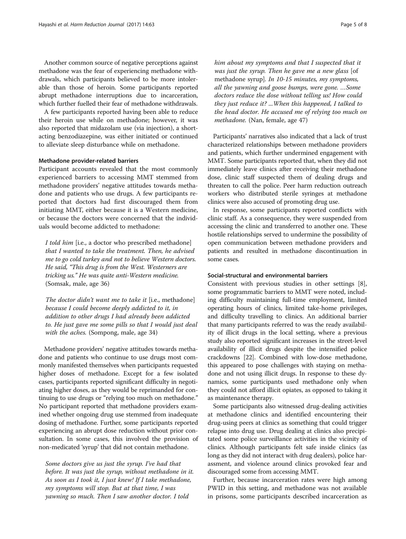Another common source of negative perceptions against methadone was the fear of experiencing methadone withdrawals, which participants believed to be more intolerable than those of heroin. Some participants reported abrupt methadone interruptions due to incarceration, which further fuelled their fear of methadone withdrawals.

A few participants reported having been able to reduce their heroin use while on methadone; however, it was also reported that midazolam use (via injection), a shortacting benzodiazepine, was either initiated or continued to alleviate sleep disturbance while on methadone.

#### Methadone provider-related barriers

Participant accounts revealed that the most commonly experienced barriers to accessing MMT stemmed from methadone providers' negative attitudes towards methadone and patients who use drugs. A few participants reported that doctors had first discouraged them from initiating MMT, either because it is a Western medicine, or because the doctors were concerned that the individuals would become addicted to methadone:

I told him [i.e., a doctor who prescribed methadone] that I wanted to take the treatment. Then, he advised me to go cold turkey and not to believe Western doctors. He said, "This drug is from the West. Westerners are tricking us." He was quite anti-Western medicine. (Somsak, male, age 36)

The doctor didn't want me to take it [i.e., methadone] because I could become deeply addicted to it, in addition to other drugs I had already been addicted to. He just gave me some pills so that I would just deal with the aches. (Sompong, male, age 34)

Methadone providers' negative attitudes towards methadone and patients who continue to use drugs most commonly manifested themselves when participants requested higher doses of methadone. Except for a few isolated cases, participants reported significant difficulty in negotiating higher doses, as they would be reprimanded for continuing to use drugs or "relying too much on methadone." No participant reported that methadone providers examined whether ongoing drug use stemmed from inadequate dosing of methadone. Further, some participants reported experiencing an abrupt dose reduction without prior consultation. In some cases, this involved the provision of non-medicated 'syrup' that did not contain methadone.

Some doctors give us just the syrup. I've had that before. It was just the syrup, without methadone in it. As soon as I took it, I just knew! If I take methadone, my symptoms will stop. But at that time, I was yawning so much. Then I saw another doctor. I told

him about my symptoms and that I suspected that it was just the syrup. Then he gave me a new glass [of methadone syrup]. In 10-15 minutes, my symptoms, all the yawning and goose bumps, were gone. …Some doctors reduce the dose without telling us! How could they just reduce it? ...When this happened, I talked to the head doctor. He accused me of relying too much on methadone. (Nan, female, age 47)

Participants' narratives also indicated that a lack of trust characterized relationships between methadone providers and patients, which further undermined engagement with MMT. Some participants reported that, when they did not immediately leave clinics after receiving their methadone dose, clinic staff suspected them of dealing drugs and threaten to call the police. Peer harm reduction outreach workers who distributed sterile syringes at methadone clinics were also accused of promoting drug use.

In response, some participants reported conflicts with clinic staff. As a consequence, they were suspended from accessing the clinic and transferred to another one. These hostile relationships served to undermine the possibility of open communication between methadone providers and patients and resulted in methadone discontinuation in some cases.

#### Social-structural and environmental barriers

Consistent with previous studies in other settings [\[8](#page-6-0)], some programmatic barriers to MMT were noted, including difficulty maintaining full-time employment, limited operating hours of clinics, limited take-home privileges, and difficulty travelling to clinics. An additional barrier that many participants referred to was the ready availability of illicit drugs in the local setting, where a previous study also reported significant increases in the street-level availability of illicit drugs despite the intensified police crackdowns [\[22\]](#page-7-0). Combined with low-dose methadone, this appeared to pose challenges with staying on methadone and not using illicit drugs. In response to these dynamics, some participants used methadone only when they could not afford illicit opiates, as opposed to taking it as maintenance therapy.

Some participants also witnessed drug-dealing activities at methadone clinics and identified encountering their drug-using peers at clinics as something that could trigger relapse into drug use. Drug dealing at clinics also precipitated some police surveillance activities in the vicinity of clinics. Although participants felt safe inside clinics (as long as they did not interact with drug dealers), police harassment, and violence around clinics provoked fear and discouraged some from accessing MMT.

Further, because incarceration rates were high among PWID in this setting, and methadone was not available in prisons, some participants described incarceration as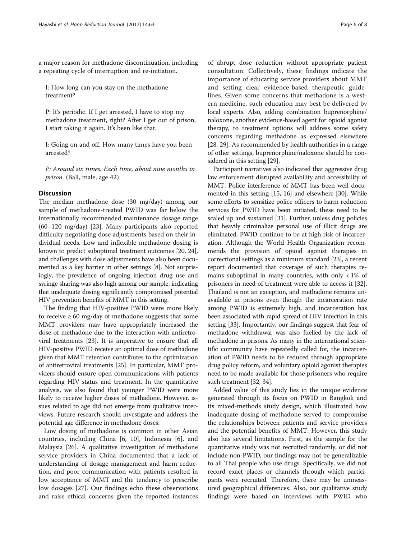a major reason for methadone discontinuation, including a repeating cycle of interruption and re-initiation.

I: How long can you stay on the methadone treatment?

P: It's periodic. If I get arrested, I have to stop my methadone treatment, right? After I get out of prison, I start taking it again. It's been like that.

I: Going on and off. How many times have you been arrested?

P: Around six times. Each time, about nine months in prison. (Ball, male, age 42)

## **Discussion**

The median methadone dose (30 mg/day) among our sample of methadone-treated PWID was far below the internationally recommended maintenance dosage range (60–120 mg/day) [[23\]](#page-7-0). Many participants also reported difficulty negotiating dose adjustments based on their individual needs. Low and inflexible methadone dosing is known to predict suboptimal treatment outcomes [\[20, 24](#page-7-0)], and challenges with dose adjustments have also been documented as a key barrier in other settings [[8](#page-6-0)]. Not surprisingly, the prevalence of ongoing injection drug use and syringe sharing was also high among our sample, indicating that inadequate dosing significantly compromised potential HIV prevention benefits of MMT in this setting.

The finding that HIV-positive PWID were more likely to receive  $\geq 60$  mg/day of methadone suggests that some MMT providers may have appropriately increased the dose of methadone due to the interaction with antiretroviral treatments [\[23\]](#page-7-0). It is imperative to ensure that all HIV-positive PWID receive an optimal dose of methadone given that MMT retention contributes to the optimization of antiretroviral treatments [\[25](#page-7-0)]. In particular, MMT providers should ensure open communications with patients regarding HIV status and treatment. In the quantitative analysis, we also found that younger PWID were more likely to receive higher doses of methadone. However, issues related to age did not emerge from qualitative interviews. Future research should investigate and address the potential age difference in methadone doses.

Low dosing of methadone is common in other Asian countries, including China [[6, 10](#page-6-0)], Indonesia [[6\]](#page-6-0), and Malaysia [[26\]](#page-7-0). A qualitative investigation of methadone service providers in China documented that a lack of understanding of dosage management and harm reduction, and poor communication with patients resulted in low acceptance of MMT and the tendency to prescribe low dosages [[27\]](#page-7-0). Our findings echo these observations and raise ethical concerns given the reported instances

of abrupt dose reduction without appropriate patient consultation. Collectively, these findings indicate the importance of educating service providers about MMT and setting clear evidence-based therapeutic guidelines. Given some concerns that methadone is a western medicine, such education may best be delivered by local experts. Also, adding combination buprenorphine/ naloxone, another evidence-based agent for opioid agonist therapy, to treatment options will address some safety concerns regarding methadone as expressed elsewhere [[28](#page-7-0), [29\]](#page-7-0). As recommended by health authorities in a range of other settings, buprenorphine/naloxone should be considered in this setting [[29](#page-7-0)].

Participant narratives also indicated that aggressive drug law enforcement disrupted availability and accessibility of MMT. Police interference of MMT has been well documented in this setting [[15](#page-7-0), [16\]](#page-7-0) and elsewhere [[30\]](#page-7-0). While some efforts to sensitize police officers to harm reduction services for PWID have been initiated, these need to be scaled up and sustained [[31](#page-7-0)]. Further, unless drug policies that heavily criminalize personal use of illicit drugs are eliminated, PWID continue to be at high risk of incarceration. Although the World Health Organization recommends the provision of opioid agonist therapies in correctional settings as a minimum standard [\[23\]](#page-7-0), a recent report documented that coverage of such therapies remains suboptimal in many countries, with only  $\langle 1\%$  of prisoners in need of treatment were able to access it [[32](#page-7-0)]. Thailand is not an exception, and methadone remains unavailable in prisons even though the incarceration rate among PWID is extremely high, and incarceration has been associated with rapid spread of HIV infection in this setting [[33](#page-7-0)]. Importantly, our findings suggest that fear of methadone withdrawal was also fuelled by the lack of methadone in prisons. As many in the international scientific community have repeatedly called for, the incarceration of PWID needs to be reduced through appropriate drug policy reform, and voluntary opioid agonist therapies need to be made available for those prisoners who require such treatment [[32](#page-7-0), [34\]](#page-7-0).

Added value of this study lies in the unique evidence generated through its focus on PWID in Bangkok and its mixed-methods study design, which illustrated how inadequate dosing of methadone served to compromise the relationships between patients and service providers and the potential benefits of MMT. However, this study also has several limitations. First, as the sample for the quantitative study was not recruited randomly, or did not include non-PWID, our findings may not be generalizable to all Thai people who use drugs. Specifically, we did not record exact places or channels through which participants were recruited. Therefore, there may be unmeasured geographical differences. Also, our qualitative study findings were based on interviews with PWID who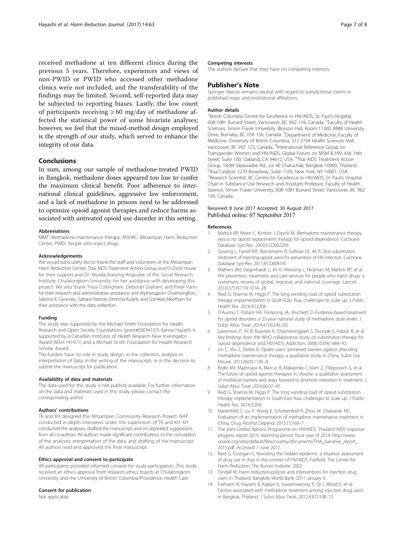<span id="page-6-0"></span>received methadone at ten different clinics during the previous 5 years. Therefore, experiences and views of non-PWID or PWID who accessed other methadone clinics were not included, and the transferability of the findings may be limited. Second, self-reported data may be subjected to reporting biases. Lastly, the low count of participants receiving  $\geq 60$  mg/day of methadone affected the statistical power of some bivariate analyses; however, we feel that the mixed-method design employed is the strength of our study, which served to enhance the integrity of our data.

## Conclusions

In sum, among our sample of methadone-treated PWID in Bangkok, methadone doses appeared too low to confer the maximum clinical benefit. Poor adherence to international clinical guidelines, aggressive law enforcement, and a lack of methadone in prisons need to be addressed to optimize opioid agonist therapies and reduce harms associated with untreated opioid use disorder in this setting.

#### Abbreviations

MMT: Methadone maintenance therapy; MSHRC: Mitsampan Harm Reduction Center; PWID: People who inject drugs

#### Acknowledgements

We would particularly like to thank the staff and volunteers at the Mitsampan Harm Reduction Center, Thai AIDS Treatment Action Group and O-Zone House for their support and Dr. Niyada Kiatying-Angsulee of the Social Research Institute, Chulalongkorn University, for her assistance with developing this project. We also thank Tricia Collingham, Deborah Graham, and Peter Vann for their research and administrative assistance and Arphatsaporn Chaimongkon, Sabrina K. Gyorvary, Sattara Hattirat, Orntima Kularb, and Somkiat Meetham for their assistance with the data collection.

#### Funding

The study was supported by the Michael Smith Foundation for Health Research and Open Society Foundations (grant#20034107). Kanna Hayashi is supported by a Canadian Institutes of Health Research New Investigator Award (MSH-141971) and a Michael Smith Foundation for Health Research Scholar Award.

The funders have no role in study design; in the collection, analysis or interpretation of data; in the writing of the manuscript; or in the decision to submit the manuscript for publication.

#### Availability of data and materials

The data used for this study is not publicly available. For further information on the data and materials used in this study, please contact the corresponding author.

#### Authors' contributions

TK and KH designed the Mitsampan Community Research Project. NAP conducted in-depth interviews under the supervision of TK and KH. KH conducted the analyses, drafted the manuscript, and incorporated suggestions from all co-authors. All authors made significant contributions to the conception of the analyses, interpretation of the data, and drafting of the manuscript. All authors read and approved the final manuscript.

#### Ethics approval and consent to participate

All participants provided informed consent for study participation. This study received an ethics approval from research ethics boards at Chulalongkorn University and the University of British Columbia/Providence Health Care.

#### Consent for publication

Not applicable.

#### Competing interests

The authors declare that they have no competing interests.

#### Publisher's Note

Springer Nature remains neutral with regard to jurisdictional claims in published maps and institutional affiliations.

#### Author details

<sup>1</sup> British Columbia Centre for Excellence in HIV/AIDS, St. Paul's Hospital 608-1081 Burrard Street, Vancouver, BC V6Z 1Y6, Canada. <sup>2</sup>Faculty of Health Sciences, Simon Fraser University, Blusson Hall, Room 11300, 8888 University Drive, Burnaby, BC V5A 1S6, Canada. <sup>3</sup>Department of Medicine, Faculty of Medicine, University of British Columbia, 317-2194 Health Sciences Mall, Vancouver, BC V6T 1Z3, Canada. <sup>4</sup>International Reference Group on Transgender Women and HIV/AIDS, Global Forum on MSM & HIV, 436 14th Street, Suite 100, Oakland, CA 94612, USA. <sup>5</sup>Thai AIDS Treatment Action Group, 18/89 Vipawadee Rd., soi 40 Chatuchak, Bangkok 10900, Thailand. 6 Asia Catalyst, 1270 Broadway, Suite 1109, New York, NY 10001, USA. 7 Research Scientist, BC Centre for Excellence in HIV/AIDS, St. Paul's Hospital Chair in Substance Use Research and Assistant Professor, Faculty of Health Science, Simon Fraser University, 608-1081 Burrard Street, Vancouver, BC V6Z 1Y6, Canada.

#### Received: 8 June 2017 Accepted: 30 August 2017 Published online: 07 September 2017

#### References

- 1. Mattick RP, Breen C, Kimber J, Davoli M. Methadone maintenance therapy versus no opioid replacement therapy for opioid dependence. Cochrane Database Syst Rev. 2009;3:CD002209.
- 2. Gowing L, Farrell MF, Bornemann R, Sullivan LE, Ali R. Oral substitution treatment of injecting opioid users for prevention of HIV infection. Cochrane Database Syst Rev. 2011;8:CD004145.
- Mathers BM, Degenhardt L, Ali H, Wiessing L, Hickman M, Mattick RP, et al. HIV prevention, treatment, and care services for people who inject drugs: a systematic review of global, regional, and national coverage. Lancet. 2010;375(9719):1014–28.
- 4. Reid G, Sharma M, Higgs P. The long winding road of opioid substitution therapy implementation in South-East Asia: challenges to scale up. J Public Health Res. 2014;3(1):204.
- 5. D'Aunno T, Pollack HA, Frimpong JA, Wuchiett D. Evidence-based treatment for opioid disorders: a 23-year national study of methadone dose levels. J Subst Abus Treat. 2014;47(4):245–50.
- 6. Lawrinson P, Ali R, Buavirat A, Chiamwongpaet S, Dvoryak S, Habrat B, et al. Key findings from the WHO collaborative study on substitution therapy for opioid dependence and HIV/AIDS. Addiction. 2008;103(9):1484–92.
- 7. Lin C, Wu Z, Detels R. Opiate users' perceived barriers against attending methadone maintenance therapy: a qualitative study in China. Subst Use Misuse. 2011;46(9):1190–8.
- 8. Bojko MJ, Mazhnaya A, Marcus R, Makarenko I, Islam Z, Filippovych S, et al. The future of opioid agonist therapies in Ukraine: a qualitative assessment of multilevel barriers and ways forward to promote retention in treatment. J Subst Abus Treat. 2016;66:37–47.
- 9. Reid G, Sharma M, Higgs P. The long winding road of opioid substitution therapy implementation in South-East Asia: challenges to scale up. J Public Health Res. 2014;3:204.
- 10. Marienfeld C, Liu P, Wang X, Schottenfeld R, Zhou W, Chawarski MC. Evaluation of an implementation of methadone maintenance treatment in China. Drug Alcohol Depend. 2015;157:60–7.
- 11. The Joint United Nations Programme on HIV/AIDS. Thailand AIDS response progress report 2015: reporting period: fiscal year of 2014. [http://www.](http://www.unaids.org/sites/default/files/country/documents/THA_narrative_report_2015.pdf) [unaids.org/sites/default/files/country/documents/THA\\_narrative\\_report\\_](http://www.unaids.org/sites/default/files/country/documents/THA_narrative_report_2015.pdf) [2015.pdf](http://www.unaids.org/sites/default/files/country/documents/THA_narrative_report_2015.pdf). Accessed 7 June 2017.
- 12. Reid G, Costigan G. Revisiting the hidden epidemic: a situation assessment of drug use in Asia in the context of HIV/AIDS. Fairfield: The Center for Harm Reduction, The Burnet Institute; 2002.
- 13. Tyndall M. Harm reduction policies and interventions for injection drug users in Thailand. Bangkok: World Bank; 2011 January 0.
- 14. Fairbairn N, Hayashi K, Kaplan K, Suwannawong P, Qi J, Wood E, et al. Factors associated with methadone treatment among injection drug users in Bangkok, Thailand. J Subst Abus Treat. 2012;43(1):108–13.